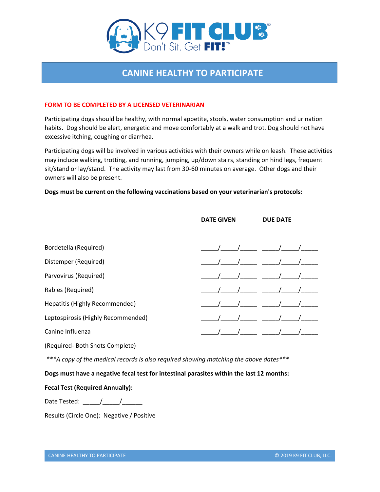

# **CANINE HEALTHY TO PARTICIPATE**

### **FORM TO BE COMPLETED BY A LICENSED VETERINARIAN**

Participating dogs should be healthy, with normal appetite, stools, water consumption and urination habits. Dog should be alert, energetic and move comfortably at a walk and trot. Dog should not have excessive itching, coughing or diarrhea.

Participating dogs will be involved in various activities with their owners while on leash. These activities may include walking, trotting, and running, jumping, up/down stairs, standing on hind legs, frequent sit/stand or lay/stand. The activity may last from 30-60 minutes on average. Other dogs and their owners will also be present.

### **Dogs must be current on the following vaccinations based on your veterinarian's protocols:**

|                                                                                       | <b>DATE GIVEN</b> | <b>DUE DATE</b> |
|---------------------------------------------------------------------------------------|-------------------|-----------------|
| Bordetella (Required)                                                                 |                   |                 |
| Distemper (Required)                                                                  |                   |                 |
| Parvovirus (Required)                                                                 |                   |                 |
| Rabies (Required)                                                                     |                   |                 |
| Hepatitis (Highly Recommended)                                                        |                   |                 |
| Leptospirosis (Highly Recommended)                                                    |                   |                 |
| Canine Influenza                                                                      |                   |                 |
| (Required-Both Shots Complete)                                                        |                   |                 |
| ***A copy of the medical records is also required showing matching the above dates*** |                   |                 |

**Dogs must have a negative fecal test for intestinal parasites within the last 12 months:** 

## **Fecal Test (Required Annually):**

Date Tested: \_\_\_\_\_/\_\_\_\_\_/\_\_\_\_\_\_

Results (Circle One): Negative / Positive